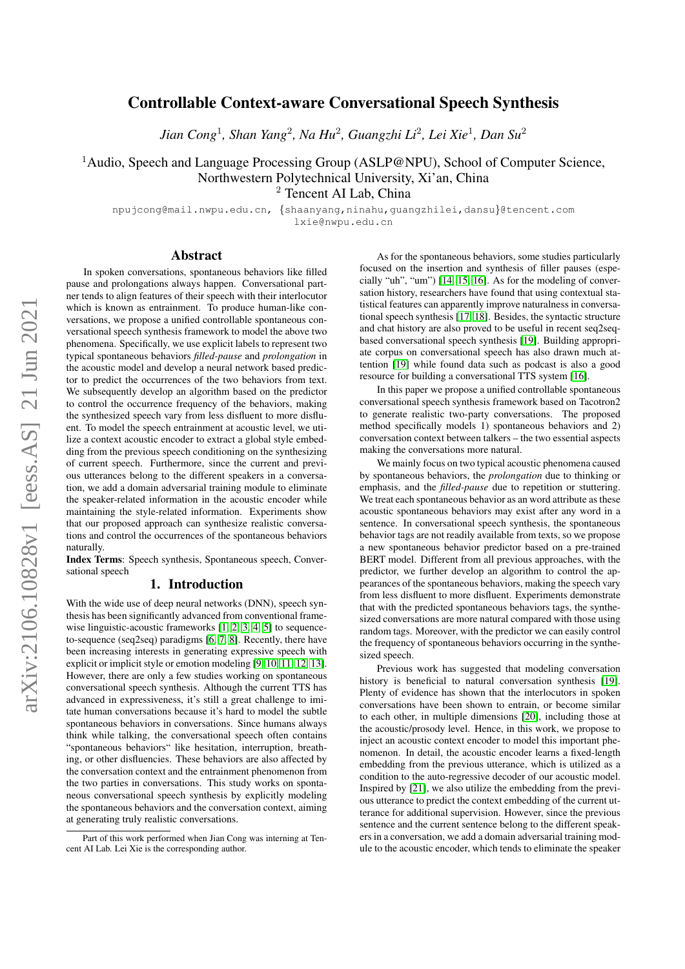# arXiv:2106.10828v1 [eess.AS] 21 Jun 2021 arXiv:2106.10828v1 [eess.AS] 21 Jun 2021

# Controllable Context-aware Conversational Speech Synthesis

*Jian Cong*<sup>1</sup> *, Shan Yang*<sup>2</sup> *, Na Hu*<sup>2</sup> *, Guangzhi Li*<sup>2</sup> *, Lei Xie*<sup>1</sup> *, Dan Su*<sup>2</sup>

<sup>1</sup>Audio, Speech and Language Processing Group (ASLP@NPU), School of Computer Science, Northwestern Polytechnical University, Xi'an, China

<sup>2</sup> Tencent AI Lab, China

npujcong@mail.nwpu.edu.cn, {shaanyang,ninahu,guangzhilei,dansu}@tencent.com lxie@nwpu.edu.cn

### Abstract

In spoken conversations, spontaneous behaviors like filled pause and prolongations always happen. Conversational partner tends to align features of their speech with their interlocutor which is known as entrainment. To produce human-like conversations, we propose a unified controllable spontaneous conversational speech synthesis framework to model the above two phenomena. Specifically, we use explicit labels to represent two typical spontaneous behaviors *filled-pause* and *prolongation* in the acoustic model and develop a neural network based predictor to predict the occurrences of the two behaviors from text. We subsequently develop an algorithm based on the predictor to control the occurrence frequency of the behaviors, making the synthesized speech vary from less disfluent to more disfluent. To model the speech entrainment at acoustic level, we utilize a context acoustic encoder to extract a global style embedding from the previous speech conditioning on the synthesizing of current speech. Furthermore, since the current and previous utterances belong to the different speakers in a conversation, we add a domain adversarial training module to eliminate the speaker-related information in the acoustic encoder while maintaining the style-related information. Experiments show that our proposed approach can synthesize realistic conversations and control the occurrences of the spontaneous behaviors naturally.

Index Terms: Speech synthesis, Spontaneous speech, Conversational speech

# 1. Introduction

With the wide use of deep neural networks (DNN), speech synthesis has been significantly advanced from conventional frame-wise linguistic-acoustic frameworks [\[1,](#page-4-0) [2,](#page-4-1) [3,](#page-4-2) [4,](#page-4-3) [5\]](#page-4-4) to sequenceto-sequence (seq2seq) paradigms [\[6,](#page-4-5) [7,](#page-4-6) [8\]](#page-4-7). Recently, there have been increasing interests in generating expressive speech with explicit or implicit style or emotion modeling [\[9,](#page-4-8) [10,](#page-4-9) [11,](#page-4-10) [12,](#page-4-11) [13\]](#page-4-12). However, there are only a few studies working on spontaneous conversational speech synthesis. Although the current TTS has advanced in expressiveness, it's still a great challenge to imitate human conversations because it's hard to model the subtle spontaneous behaviors in conversations. Since humans always think while talking, the conversational speech often contains "spontaneous behaviors" like hesitation, interruption, breathing, or other disfluencies. These behaviors are also affected by the conversation context and the entrainment phenomenon from the two parties in conversations. This study works on spontaneous conversational speech synthesis by explicitly modeling the spontaneous behaviors and the conversation context, aiming at generating truly realistic conversations.

As for the spontaneous behaviors, some studies particularly focused on the insertion and synthesis of filler pauses (especially "uh", "um") [\[14,](#page-4-13) [15,](#page-4-14) [16\]](#page-4-15). As for the modeling of conversation history, researchers have found that using contextual statistical features can apparently improve naturalness in conversational speech synthesis [\[17,](#page-4-16) [18\]](#page-4-17). Besides, the syntactic structure and chat history are also proved to be useful in recent seq2seqbased conversational speech synthesis [\[19\]](#page-4-18). Building appropriate corpus on conversational speech has also drawn much attention [\[19\]](#page-4-18) while found data such as podcast is also a good resource for building a conversational TTS system [\[16\]](#page-4-15).

In this paper we propose a unified controllable spontaneous conversational speech synthesis framework based on Tacotron2 to generate realistic two-party conversations. The proposed method specifically models 1) spontaneous behaviors and 2) conversation context between talkers – the two essential aspects making the conversations more natural.

We mainly focus on two typical acoustic phenomena caused by spontaneous behaviors, the *prolongation* due to thinking or emphasis, and the *filled-pause* due to repetition or stuttering. We treat each spontaneous behavior as an word attribute as these acoustic spontaneous behaviors may exist after any word in a sentence. In conversational speech synthesis, the spontaneous behavior tags are not readily available from texts, so we propose a new spontaneous behavior predictor based on a pre-trained BERT model. Different from all previous approaches, with the predictor, we further develop an algorithm to control the appearances of the spontaneous behaviors, making the speech vary from less disfluent to more disfluent. Experiments demonstrate that with the predicted spontaneous behaviors tags, the synthesized conversations are more natural compared with those using random tags. Moreover, with the predictor we can easily control the frequency of spontaneous behaviors occurring in the synthesized speech.

Previous work has suggested that modeling conversation history is beneficial to natural conversation synthesis [\[19\]](#page-4-18). Plenty of evidence has shown that the interlocutors in spoken conversations have been shown to entrain, or become similar to each other, in multiple dimensions [\[20\]](#page-4-19), including those at the acoustic/prosody level. Hence, in this work, we propose to inject an acoustic context encoder to model this important phenomenon. In detail, the acoustic encoder learns a fixed-length embedding from the previous utterance, which is utilized as a condition to the auto-regressive decoder of our acoustic model. Inspired by [\[21\]](#page-4-20), we also utilize the embedding from the previous utterance to predict the context embedding of the current utterance for additional supervision. However, since the previous sentence and the current sentence belong to the different speakers in a conversation, we add a domain adversarial training module to the acoustic encoder, which tends to eliminate the speaker

Part of this work performed when Jian Cong was interning at Tencent AI Lab. Lei Xie is the corresponding author.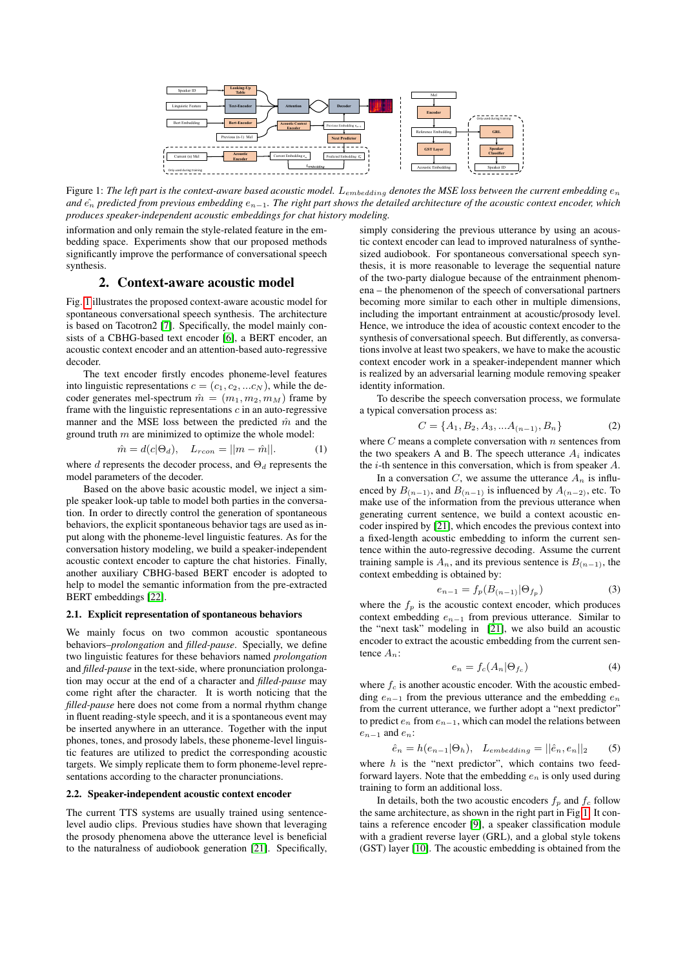<span id="page-1-0"></span>

Figure 1: The left part is the context-aware based acoustic model. L<sub>embedding</sub> denotes the MSE loss between the current embedding  $e_n$ *and*  $\hat{e_n}$  *predicted from previous embedding*  $e_{n-1}$ . The right part shows the detailed architecture of the acoustic context encoder, which *produces speaker-independent acoustic embeddings for chat history modeling.*

information and only remain the style-related feature in the embedding space. Experiments show that our proposed methods significantly improve the performance of conversational speech synthesis.

### 2. Context-aware acoustic model

Fig. [1](#page-1-0) illustrates the proposed context-aware acoustic model for spontaneous conversational speech synthesis. The architecture is based on Tacotron2 [\[7\]](#page-4-6). Specifically, the model mainly consists of a CBHG-based text encoder [\[6\]](#page-4-5), a BERT encoder, an acoustic context encoder and an attention-based auto-regressive decoder.

The text encoder firstly encodes phoneme-level features into linguistic representations  $c = (c_1, c_2, ... c_N)$ , while the decoder generates mel-spectrum  $\hat{m} = (m_1, m_2, m_M)$  frame by frame with the linguistic representations  $c$  in an auto-regressive manner and the MSE loss between the predicted  $\hat{m}$  and the ground truth  $m$  are minimized to optimize the whole model:

<span id="page-1-1"></span>
$$
\hat{m} = d(c|\Theta_d), \quad L_{rcon} = ||m - \hat{m}||. \tag{1}
$$

where d represents the decoder process, and  $\Theta_d$  represents the model parameters of the decoder.

Based on the above basic acoustic model, we inject a simple speaker look-up table to model both parties in the conversation. In order to directly control the generation of spontaneous behaviors, the explicit spontaneous behavior tags are used as input along with the phoneme-level linguistic features. As for the conversation history modeling, we build a speaker-independent acoustic context encoder to capture the chat histories. Finally, another auxiliary CBHG-based BERT encoder is adopted to help to model the semantic information from the pre-extracted BERT embeddings [\[22\]](#page-4-21).

# <span id="page-1-2"></span>2.1. Explicit representation of spontaneous behaviors

We mainly focus on two common acoustic spontaneous behaviors–*prolongation* and *filled-pause*. Specially, we define two linguistic features for these behaviors named *prolongation* and *filled-pause* in the text-side, where pronunciation prolongation may occur at the end of a character and *filled-pause* may come right after the character. It is worth noticing that the *filled-pause* here does not come from a normal rhythm change in fluent reading-style speech, and it is a spontaneous event may be inserted anywhere in an utterance. Together with the input phones, tones, and prosody labels, these phoneme-level linguistic features are utilized to predict the corresponding acoustic targets. We simply replicate them to form phoneme-level representations according to the character pronunciations.

### 2.2. Speaker-independent acoustic context encoder

The current TTS systems are usually trained using sentencelevel audio clips. Previous studies have shown that leveraging the prosody phenomena above the utterance level is beneficial to the naturalness of audiobook generation [\[21\]](#page-4-20). Specifically,

simply considering the previous utterance by using an acoustic context encoder can lead to improved naturalness of synthesized audiobook. For spontaneous conversational speech synthesis, it is more reasonable to leverage the sequential nature of the two-party dialogue because of the entrainment phenomena – the phenomenon of the speech of conversational partners becoming more similar to each other in multiple dimensions, including the important entrainment at acoustic/prosody level. Hence, we introduce the idea of acoustic context encoder to the synthesis of conversational speech. But differently, as conversations involve at least two speakers, we have to make the acoustic context encoder work in a speaker-independent manner which is realized by an adversarial learning module removing speaker identity information.

To describe the speech conversation process, we formulate a typical conversation process as:

$$
C = \{A_1, B_2, A_3, \dots A_{(n-1)}, B_n\} \tag{2}
$$

where  $C$  means a complete conversation with  $n$  sentences from the two speakers A and B. The speech utterance  $A_i$  indicates the  $i$ -th sentence in this conversation, which is from speaker  $A$ .

In a conversation C, we assume the utterance  $A_n$  is influenced by  $B_{(n-1)}$ , and  $B_{(n-1)}$  is influenced by  $A_{(n-2)}$ , etc. To make use of the information from the previous utterance when generating current sentence, we build a context acoustic encoder inspired by [\[21\]](#page-4-20), which encodes the previous context into a fixed-length acoustic embedding to inform the current sentence within the auto-regressive decoding. Assume the current training sample is  $A_n$ , and its previous sentence is  $B_{(n-1)}$ , the context embedding is obtained by:

$$
e_{n-1} = f_p(B_{(n-1)} | \Theta_{f_p})
$$
\n(3)

where the  $f_p$  is the acoustic context encoder, which produces context embedding  $e_{n-1}$  from previous utterance. Similar to the "next task" modeling in [\[21\]](#page-4-20), we also build an acoustic encoder to extract the acoustic embedding from the current sentence  $A_n$ :

$$
e_n = f_c(A_n | \Theta_{f_c}) \tag{4}
$$

where  $f_c$  is another acoustic encoder. With the acoustic embedding  $e_{n-1}$  from the previous utterance and the embedding  $e_n$ from the current utterance, we further adopt a "next predictor" to predict  $e_n$  from  $e_{n-1}$ , which can model the relations between  $e_{n-1}$  and  $e_n$ :

$$
\hat{e}_n = h(e_{n-1}|\Theta_h), \quad L_{embedding} = ||\hat{e}_n, e_n||_2 \tag{5}
$$

where  $h$  is the "next predictor", which contains two feedforward layers. Note that the embedding  $e_n$  is only used during training to form an additional loss.

In details, both the two acoustic encoders  $f_p$  and  $f_c$  follow the same architecture, as shown in the right part in Fig[.1.](#page-1-0) It contains a reference encoder [\[9\]](#page-4-8), a speaker classification module with a gradient reverse layer (GRL), and a global style tokens (GST) layer [\[10\]](#page-4-9). The acoustic embedding is obtained from the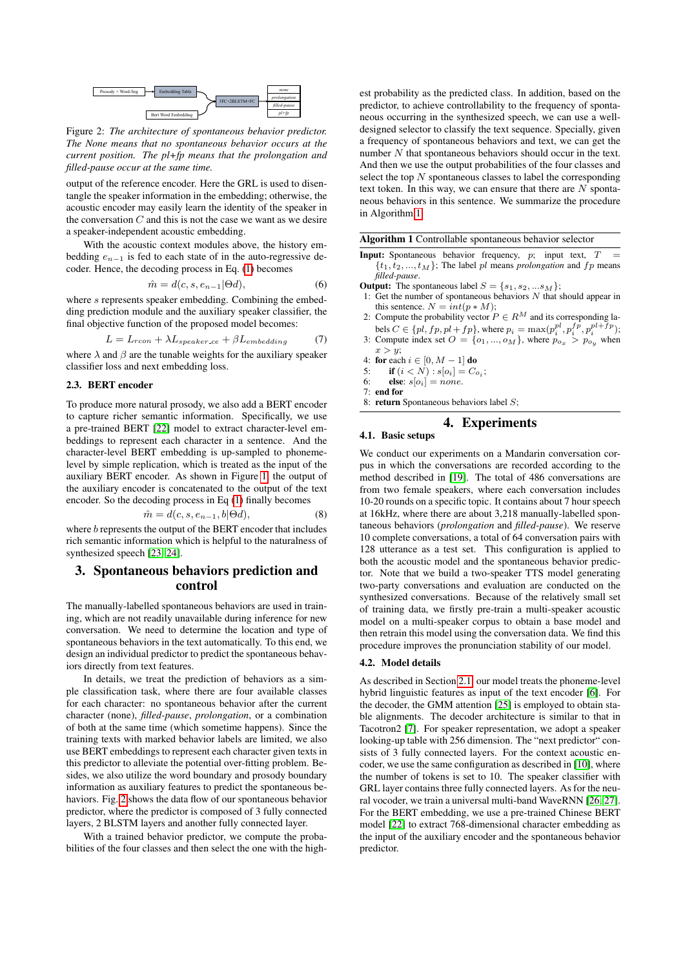<span id="page-2-0"></span>

Figure 2: *The architecture of spontaneous behavior predictor. The None means that no spontaneous behavior occurs at the current position. The pl+fp means that the prolongation and filled-pause occur at the same time.*

output of the reference encoder. Here the GRL is used to disentangle the speaker information in the embedding; otherwise, the acoustic encoder may easily learn the identity of the speaker in the conversation  $C$  and this is not the case we want as we desire a speaker-independent acoustic embedding.

With the acoustic context modules above, the history embedding  $e_{n-1}$  is fed to each state of in the auto-regressive decoder. Hence, the decoding process in Eq. [\(1\)](#page-1-1) becomes

$$
\hat{m} = d(c, s, e_{n-1} | \Theta d),\tag{6}
$$

where s represents speaker embedding. Combining the embedding prediction module and the auxiliary speaker classifier, the final objective function of the proposed model becomes:

$$
L = L_{rcon} + \lambda L_{speaker \cdot ce} + \beta L_{embedding} \tag{7}
$$

where  $\lambda$  and  $\beta$  are the tunable weights for the auxiliary speaker classifier loss and next embedding loss.

## 2.3. BERT encoder

To produce more natural prosody, we also add a BERT encoder to capture richer semantic information. Specifically, we use a pre-trained BERT [\[22\]](#page-4-21) model to extract character-level embeddings to represent each character in a sentence. And the character-level BERT embedding is up-sampled to phonemelevel by simple replication, which is treated as the input of the auxiliary BERT encoder. As shown in Figure [1,](#page-1-0) the output of the auxiliary encoder is concatenated to the output of the text encoder. So the decoding process in Eq [\(1\)](#page-1-1) finally becomes

$$
\hat{m} = d(c, s, e_{n-1}, b | \Theta d),\tag{8}
$$

where b represents the output of the BERT encoder that includes rich semantic information which is helpful to the naturalness of synthesized speech [\[23,](#page-4-22) [24\]](#page-4-23).

# <span id="page-2-2"></span>3. Spontaneous behaviors prediction and control

The manually-labelled spontaneous behaviors are used in training, which are not readily unavailable during inference for new conversation. We need to determine the location and type of spontaneous behaviors in the text automatically. To this end, we design an individual predictor to predict the spontaneous behaviors directly from text features.

In details, we treat the prediction of behaviors as a simple classification task, where there are four available classes for each character: no spontaneous behavior after the current character (none), *filled-pause*, *prolongation*, or a combination of both at the same time (which sometime happens). Since the training texts with marked behavior labels are limited, we also use BERT embeddings to represent each character given texts in this predictor to alleviate the potential over-fitting problem. Besides, we also utilize the word boundary and prosody boundary information as auxiliary features to predict the spontaneous behaviors. Fig. [2](#page-2-0) shows the data flow of our spontaneous behavior predictor, where the predictor is composed of 3 fully connected layers, 2 BLSTM layers and another fully connected layer.

With a trained behavior predictor, we compute the probabilities of the four classes and then select the one with the high-

 $\frac{p^{i+\hat{p}}}{p^{i+\hat{p}}}$  neous occurring in the synthesized speech, we can use a well-3FC+2BLSTM+FC
<sub>filled-pause</sub> predictor, to achieve controllability to the frequency of sponta- $P_{\text{prologation}}$  est probability as the predicted class. In addition, based on the designed selector to classify the text sequence. Specially, given a frequency of spontaneous behaviors and text, we can get the number N that spontaneous behaviors should occur in the text. And then we use the output probabilities of the four classes and select the top  $N$  spontaneous classes to label the corresponding text token. In this way, we can ensure that there are  $N$  spontaneous behaviors in this sentence. We summarize the procedure in Algorithm [1.](#page-2-1)

<span id="page-2-1"></span>Algorithm 1 Controllable spontaneous behavior selector

**Input:** Spontaneous behavior frequency,  $p$ ; input text,  $T$  $\{t_1, t_2, ..., t_M\}$ ; The label pl means *prolongation* and fp means *filled-pause*.

**Output:** The spontaneous label  $S = \{s_1, s_2, ... s_M\};$ 

- Get the number of spontaneous behaviors  $N$  that should appear in this sentence.  $N = int(p * M);$
- 2: Compute the probability vector  $P \in R^M$  and its corresponding labels  $C \in \{pl, fp, pl + fp\}$ , where  $p_i = \max(p_i^{pl}, p_i^{fp}, p_i^{pl+fp})$ ; 3: Compute index set  $O = \{o_1, ..., o_M\}$ , where  $p_{o_x} > p_{o_y}$  when
- $x > y;$
- 4: for each  $i \in [0, M-1]$  do<br>5: if  $(i < N) : s[\alpha] = C_2$
- 5: **if**  $(i < N) : s[o_i] = C_{o_i}$ ; 6: **else**:  $s[o_i] = none$ .
- 7: end for
- 8: return Spontaneous behaviors label  $S$ :

# 4. Experiments

4.1. Basic setups

We conduct our experiments on a Mandarin conversation corpus in which the conversations are recorded according to the method described in [\[19\]](#page-4-18). The total of 486 conversations are from two female speakers, where each conversation includes 10-20 rounds on a specific topic. It contains about 7 hour speech at 16kHz, where there are about 3,218 manually-labelled spontaneous behaviors (*prolongation* and *filled-pause*). We reserve 10 complete conversations, a total of 64 conversation pairs with 128 utterance as a test set. This configuration is applied to both the acoustic model and the spontaneous behavior predictor. Note that we build a two-speaker TTS model generating two-party conversations and evaluation are conducted on the synthesized conversations. Because of the relatively small set of training data, we firstly pre-train a multi-speaker acoustic model on a multi-speaker corpus to obtain a base model and then retrain this model using the conversation data. We find this procedure improves the pronunciation stability of our model.

### 4.2. Model details

As described in Section [2.1,](#page-1-2) our model treats the phoneme-level hybrid linguistic features as input of the text encoder [\[6\]](#page-4-5). For the decoder, the GMM attention [\[25\]](#page-4-24) is employed to obtain stable alignments. The decoder architecture is similar to that in Tacotron2 [\[7\]](#page-4-6). For speaker representation, we adopt a speaker looking-up table with 256 dimension. The "next predictor" consists of 3 fully connected layers. For the context acoustic encoder, we use the same configuration as described in [\[10\]](#page-4-9), where the number of tokens is set to 10. The speaker classifier with GRL layer contains three fully connected layers. As for the neural vocoder, we train a universal multi-band WaveRNN [\[26,](#page-4-25) [27\]](#page-4-26). For the BERT embedding, we use a pre-trained Chinese BERT model [\[22\]](#page-4-21) to extract 768-dimensional character embedding as the input of the auxiliary encoder and the spontaneous behavior predictor.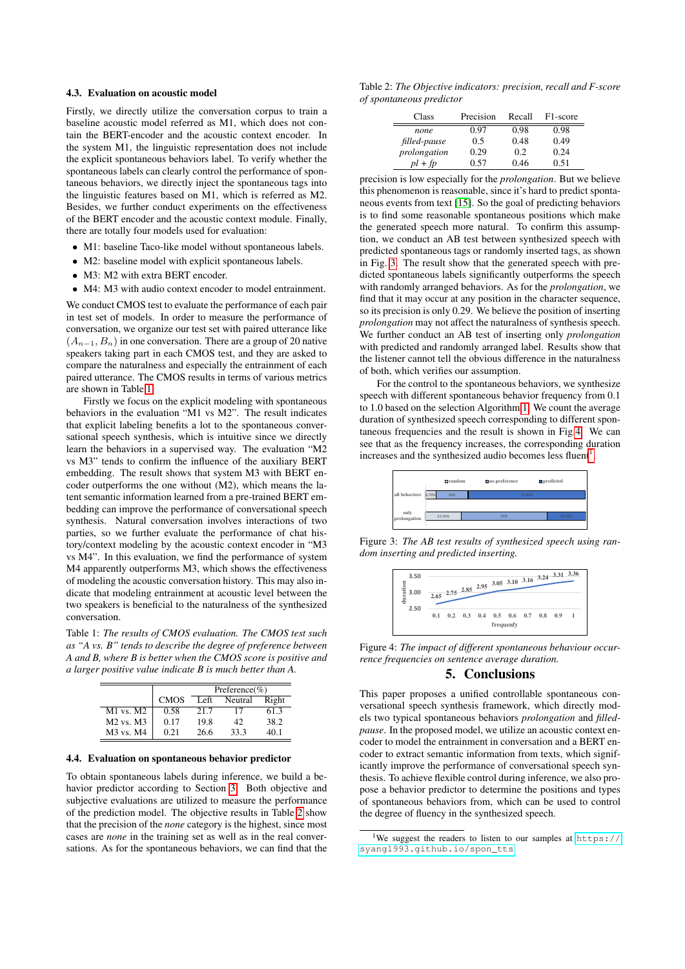### 4.3. Evaluation on acoustic model

Firstly, we directly utilize the conversation corpus to train a baseline acoustic model referred as M1, which does not contain the BERT-encoder and the acoustic context encoder. In the system M1, the linguistic representation does not include the explicit spontaneous behaviors label. To verify whether the spontaneous labels can clearly control the performance of spontaneous behaviors, we directly inject the spontaneous tags into the linguistic features based on M1, which is referred as M2. Besides, we further conduct experiments on the effectiveness of the BERT encoder and the acoustic context module. Finally, there are totally four models used for evaluation:

- M1: baseline Taco-like model without spontaneous labels.
- M2: baseline model with explicit spontaneous labels.
- M3: M2 with extra BERT encoder.
- M4: M3 with audio context encoder to model entrainment.

We conduct CMOS test to evaluate the performance of each pair in test set of models. In order to measure the performance of conversation, we organize our test set with paired utterance like  $(A_{n-1}, B_n)$  in one conversation. There are a group of 20 native speakers taking part in each CMOS test, and they are asked to compare the naturalness and especially the entrainment of each paired utterance. The CMOS results in terms of various metrics are shown in Table [1.](#page-3-0)

Firstly we focus on the explicit modeling with spontaneous behaviors in the evaluation "M1 vs M2". The result indicates that explicit labeling benefits a lot to the spontaneous conversational speech synthesis, which is intuitive since we directly learn the behaviors in a supervised way. The evaluation "M2 vs M3" tends to confirm the influence of the auxiliary BERT embedding. The result shows that system M3 with BERT encoder outperforms the one without (M2), which means the latent semantic information learned from a pre-trained BERT embedding can improve the performance of conversational speech synthesis. Natural conversation involves interactions of two parties, so we further evaluate the performance of chat history/context modeling by the acoustic context encoder in "M3 vs M4". In this evaluation, we find the performance of system M4 apparently outperforms M3, which shows the effectiveness of modeling the acoustic conversation history. This may also indicate that modeling entrainment at acoustic level between the two speakers is beneficial to the naturalness of the synthesized conversation.

<span id="page-3-0"></span>Table 1: *The results of CMOS evaluation. The CMOS test such as "A vs. B" tends to describe the degree of preference between A and B, where B is better when the CMOS score is positive and a larger positive value indicate B is much better than A.*

|                                   | Preference(%) |      |         |       |
|-----------------------------------|---------------|------|---------|-------|
|                                   | <b>CMOS</b>   | Left | Neutral | Right |
| $M1$ vs. $M2$                     | 0.58          | 21.7 | 17      | 61.3  |
| M <sub>2</sub> vs. M <sub>3</sub> | 0.17          | 19.8 | 42      | 38.2  |
| M3 vs. M4                         | 0.21          | 26.6 | 33.3    | 40.1  |

### 4.4. Evaluation on spontaneous behavior predictor

To obtain spontaneous labels during inference, we build a behavior predictor according to Section [3.](#page-2-2) Both objective and subjective evaluations are utilized to measure the performance of the prediction model. The objective results in Table [2](#page-3-1) show that the precision of the *none* category is the highest, since most cases are *none* in the training set as well as in the real conversations. As for the spontaneous behaviors, we can find that the

<span id="page-3-1"></span>Table 2: *The Objective indicators: precision, recall and F-score of spontaneous predictor*

| Class        | Precision | Recall | F1-score |
|--------------|-----------|--------|----------|
| none         | 0.97      | 0.98   | 0.98     |
| filled-pause | 0.5       | 0.48   | 0.49     |
| prolongation | 0.29      | 0.2    | 0.24     |
| $pl + fp$    | 0.57      | 0.46   | 0.51     |

precision is low especially for the *prolongation*. But we believe this phenomenon is reasonable, since it's hard to predict spontaneous events from text [\[15\]](#page-4-14). So the goal of predicting behaviors is to find some reasonable spontaneous positions which make the generated speech more natural. To confirm this assumption, we conduct an AB test between synthesized speech with predicted spontaneous tags or randomly inserted tags, as shown in Fig. [3.](#page-3-2) The result show that the generated speech with predicted spontaneous labels significantly outperforms the speech with randomly arranged behaviors. As for the *prolongation*, we find that it may occur at any position in the character sequence, so its precision is only 0.29. We believe the position of inserting *prolongation* may not affect the naturalness of synthesis speech. We further conduct an AB test of inserting only *prolongation* with predicted and randomly arranged label. Results show that the listener cannot tell the obvious difference in the naturalness of both, which verifies our assumption.

For the control to the spontaneous behaviors, we synthesize speech with different spontaneous behavior frequency from 0.1 to 1.0 based on the selection Algorithm [1.](#page-2-1) We count the average duration of synthesized speech corresponding to different spontaneous frequencies and the result is shown in Fig[.4.](#page-3-3) We can see that as the frequency increases, the corresponding duration increases and the synthesized audio becomes less fluent<sup>[1](#page-3-4)</sup>.

<span id="page-3-2"></span>

Figure 3: *The AB test results of synthesized speech using random inserting and predicted inserting.*

<span id="page-3-3"></span>

Figure 4: *The impact of different spontaneous behaviour occurrence frequencies on sentence average duration.*

### 5. Conclusions

This paper proposes a unified controllable spontaneous conversational speech synthesis framework, which directly models two typical spontaneous behaviors *prolongation* and *filledpause*. In the proposed model, we utilize an acoustic context encoder to model the entrainment in conversation and a BERT encoder to extract semantic information from texts, which significantly improve the performance of conversational speech synthesis. To achieve flexible control during inference, we also propose a behavior predictor to determine the positions and types of spontaneous behaviors from, which can be used to control the degree of fluency in the synthesized speech.

<span id="page-3-4"></span><sup>&</sup>lt;sup>1</sup>We suggest the readers to listen to our samples at [https://](https://syang1993.github.io/spon_tts) [syang1993.github.io/spon\\_tts](https://syang1993.github.io/spon_tts)